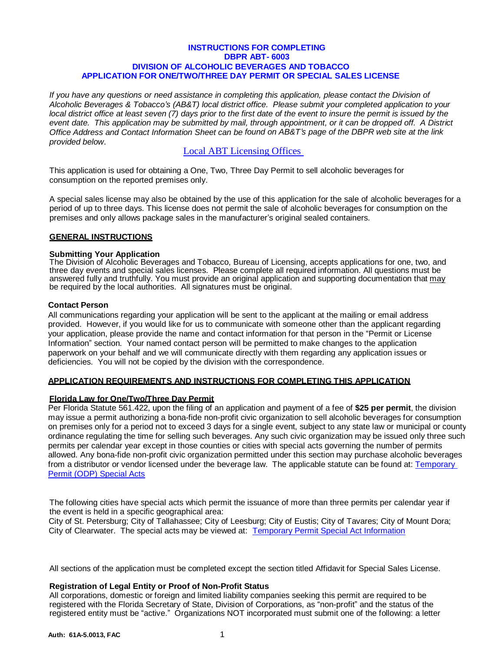## **INSTRUCTIONS FOR COMPLETING DBPR ABT- 6003 DIVISION OF ALCOHOLIC BEVERAGES AND TOBACCO APPLICATION FOR ONE/TWO/THREE DAY PERMIT OR SPECIAL SALES LICENSE**

*If you have any questions or need assistance in completing this application, please contact the Division of Alcoholic Beverages & Tobacco's (AB&T) local district office. Please submit your completed application to your*  local district office at least seven (7) days prior to the first date of the event to insure the permit is issued by the *event date. This application may be submitted by mail, through appointment, or it can be dropped off. A District Office Address and Contact Information Sheet can be found on AB&T's page of the DBPR web site at the link provided below.*

# [Local ABT Licensing Offices](http://www.myfloridalicense.com/DBPR/alcoholic-beverages-and-tobacco/contact/#1494352843986-421b0e77-77ee)

This application is used for obtaining a One, Two, Three Day Permit to sell alcoholic beverages for consumption on the reported premises only.

A special sales license may also be obtained by the use of this application for the sale of alcoholic beverages for a period of up to three days. This license does not permit the sale of alcoholic beverages for consumption on the premises and only allows package sales in the manufacturer's original sealed containers.

# **GENERAL INSTRUCTIONS**

# **Submitting Your Application**

The Division of Alcoholic Beverages and Tobacco, Bureau of Licensing, accepts applications for one, two, and three day events and special sales licenses. Please complete all required information. All questions must be answered fully and truthfully. You must provide an original application and supporting documentation that may be required by the local authorities. All signatures must be original.

# **Contact Person**

All communications regarding your application will be sent to the applicant at the mailing or email address provided. However, if you would like for us to communicate with someone other than the applicant regarding your application, please provide the name and contact information for that person in the "Permit or License Information" section. Your named contact person will be permitted to make changes to the application paperwork on your behalf and we will communicate directly with them regarding any application issues or deficiencies. You will not be copied by the division with the correspondence.

# **APPLICATION REQUIREMENTS AND INSTRUCTIONS FOR COMPLETING THIS APPLICATION**

# **Florida Law for One/Two/Three Day Permit**

Per Florida Statute 561.422, upon the filing of an application and payment of a fee of **\$25 per permit**, the division may issue a permit authorizing a bona-fide non-profit civic organization to sell alcoholic beverages for consumption on premises only for a period not to exceed 3 days for a single event, subject to any state law or municipal or county ordinance regulating the time for selling such beverages. Any such civic organization may be issued only three such permits per calendar year except in those counties or cities with special acts governing the number of permits allowed. Any bona-fide non-profit civic organization permitted under this section may purchase alcoholic beverages from a distributor or vendor licensed under the beverage law. The applicable statute can be found at: [Temporary](http://www.myfloridalicense.com/DBPR/alcoholic-beverages-and-tobacco/temporary-permits/)  [Permit \(ODP\) Special Acts](http://www.myfloridalicense.com/DBPR/alcoholic-beverages-and-tobacco/temporary-permits/)

The following cities have special acts which permit the issuance of more than three permits per calendar year if the event is held in a specific geographical area:

City of St. Petersburg; City of Tallahassee; City of Leesburg; City of Eustis; City of Tavares; City of Mount Dora; City of Clearwater. The special acts may be viewed at: [Temporary Permit Special Act Information](http://www.myfloridalicense.com/dbpr/abt/licensing/documents/TemporaryPermitSpecialAct.pdf)

All sections of the application must be completed except the section titled Affidavit for Special Sales License.

#### **Registration of Legal Entity or Proof of Non-Profit Status**

All corporations, domestic or foreign and limited liability companies seeking this permit are required to be registered with the Florida Secretary of State, Division of Corporations, as "non-profit" and the status of the registered entity must be "active." Organizations NOT incorporated must submit one of the following: a letter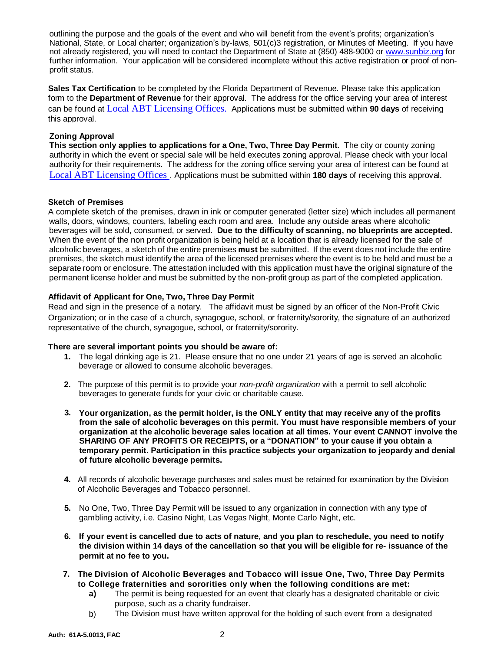outlining the purpose and the goals of the event and who will benefit from the event's profits; organization's National, State, or Local charter; organization's by-laws, 501(c)3 registration, or Minutes of Meeting. If you have not already registered, you will need to contact the Department of State at (850) 488-9000 or [www.sunbiz.org](http://www.sunbiz.org/) for further information. Your application will be considered incomplete without this active registration or proof of nonprofit status.

**Sales Tax Certification** to be completed by the Florida Department of Revenue. Please take this application form to the **Department of Revenue** for their approval. The address for the office serving your area of interest can be found at [Local ABT Licensing Offices.](http://www.myfloridalicense.com/DBPR/alcoholic-beverages-and-tobacco/contact/#1494352843986-421b0e77-77ee) Applications must be submitted within **90 days** of receiving this approval.

# **Zoning Approval**

**This section only applies to applications for a One, Two, Three Day Permit**. The city or county zoning authority in which the event or special sale will be held executes zoning approval. Please check with your local authority for their requirements. The address for the zoning office serving your area of interest can be found at [Local ABT Licensing Offices .](http://www.myfloridalicense.com/DBPR/alcoholic-beverages-and-tobacco/contact/#1494352843986-421b0e77-77ee) Applications must be submitted within **180 days** of receiving this approval.

# **Sketch of Premises**

A complete sketch of the premises, drawn in ink or computer generated (letter size) which includes all permanent walls, doors, windows, counters, labeling each room and area. Include any outside areas where alcoholic beverages will be sold, consumed, or served. **Due to the difficulty of scanning, no blueprints are accepted.**  When the event of the non profit organization is being held at a location that is already licensed for the sale of alcoholic beverages, a sketch of the entire premises **must** be submitted. If the event does not include the entire premises, the sketch must identify the area of the licensed premises where the event is to be held and must be a separate room or enclosure. The attestation included with this application must have the original signature of the permanent license holder and must be submitted by the non-profit group as part of the completed application.

# **Affidavit of Applicant for One, Two, Three Day Permit**

Read and sign in the presence of a notary. The affidavit must be signed by an officer of the Non-Profit Civic Organization; or in the case of a church, synagogue, school, or fraternity/sorority, the signature of an authorized representative of the church, synagogue, school, or fraternity/sorority.

# **There are several important points you should be aware of:**

- **1.** The legal drinking age is 21. Please ensure that no one under 21 years of age is served an alcoholic beverage or allowed to consume alcoholic beverages.
- **2.** The purpose of this permit is to provide your *non-profit organization* with a permit to sell alcoholic beverages to generate funds for your civic or charitable cause.
- **3. Your organization, as the permit holder, is the ONLY entity that may receive any of the profits from the sale of alcoholic beverages on this permit. You must have responsible members of your organization at the alcoholic beverage sales location at all times. Your event CANNOT involve the SHARING OF ANY PROFITS OR RECEIPTS, or a "DONATION" to your cause if you obtain a temporary permit. Participation in this practice subjects your organization to jeopardy and denial of future alcoholic beverage permits.**
- **4.** All records of alcoholic beverage purchases and sales must be retained for examination by the Division of Alcoholic Beverages and Tobacco personnel.
- **5.** No One, Two, Three Day Permit will be issued to any organization in connection with any type of gambling activity, i.e. Casino Night, Las Vegas Night, Monte Carlo Night, etc.
- **6. If your event is cancelled due to acts of nature, and you plan to reschedule, you need to notify the division within 14 days of the cancellation so that you will be eligible for re- issuance of the permit at no fee to you.**
- **7. The Division of Alcoholic Beverages and Tobacco will issue One, Two, Three Day Permits to College fraternities and sororities only when the following conditions are met:**
	- **a)** The permit is being requested for an event that clearly has a designated charitable or civic purpose, such as a charity fundraiser.
	- b) The Division must have written approval for the holding of such event from a designated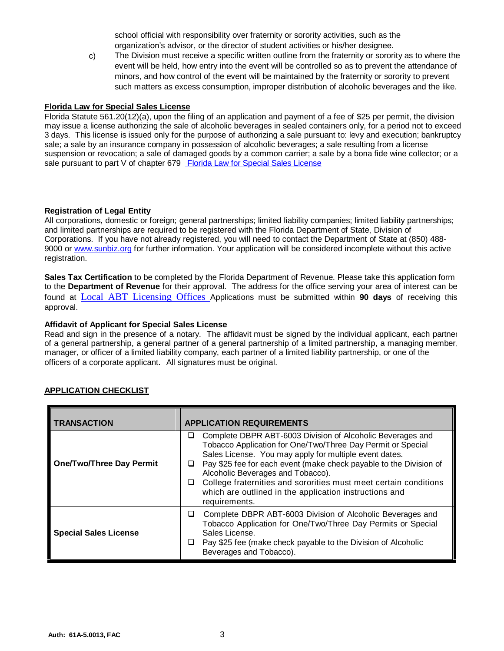school official with responsibility over fraternity or sorority activities, such as the organization's advisor, or the director of student activities or his/her designee.

The Division must receive a specific written outline from the fraternity or sorority as to where the event will be held, how entry into the event will be controlled so as to prevent the attendance of minors, and how control of the event will be maintained by the fraternity or sorority to prevent such matters as excess consumption, improper distribution of alcoholic beverages and the like. c)

# **Florida Law for Special Sales License**

Florida Statute 561.20(12)(a), upon the filing of an application and payment of a fee of \$25 per permit, the division may issue a license authorizing the sale of alcoholic beverages in sealed containers only, for a period not to exceed 3 days. This license is issued only for the purpose of authorizing a sale pursuant to: levy and execution; bankruptcy sale; a sale by an insurance company in possession of alcoholic beverages; a sale resulting from a license suspension or revocation; a sale of damaged goods by a common carrier; a sale by a bona fide wine collector; or a sale pursuant to part V of chapter 679 [Florida Law for Special Sales License](http://www.leg.state.fl.us/Statutes/index.cfm?App_mode=Display_Statute&URL=0600-0699/0679/0679PartVContentsIndex.html&StatuteYear=2012&Title=%2D%3E2012%2D%3EChapter%20679%2D%3EPart%20V.)

# **Registration of Legal Entity**

All corporations, domestic or foreign; general partnerships; limited liability companies; limited liability partnerships; and limited partnerships are required to be registered with the Florida Department of State, Division of Corporations. If you have not already registered, you will need to contact the Department of State at (850) 488 9000 or [www.sunbiz.org](http://www.sunbiz.org/) for further information. Your application will be considered incomplete without this active registration.

**Sales Tax Certification** to be completed by the Florida Department of Revenue. Please take this application form to the **Department of Revenue** for their approval. The address for the office serving your area of interest can be found at [Local ABT Licensing Offices](http://www.myfloridalicense.com/DBPR/alcoholic-beverages-and-tobacco/contact/#1494352843986-421b0e77-77ee) Applications must be submitted within **90 days** of receiving this approval.

# **Affidavit of Applicant for Special Sales License**

Read and sign in the presence of a notary. The affidavit must be signed by the individual applicant, each partner of a general partnership, a general partner of a general partnership of a limited partnership, a managing member, manager, or officer of a limited liability company, each partner of a limited liability partnership, or one of the officers of a corporate applicant. All signatures must be original.

| <b>TRANSACTION</b>              | <b>APPLICATION REQUIREMENTS</b>                                                                                                                                                                                                                                                                                                                                                                                                                              |
|---------------------------------|--------------------------------------------------------------------------------------------------------------------------------------------------------------------------------------------------------------------------------------------------------------------------------------------------------------------------------------------------------------------------------------------------------------------------------------------------------------|
| <b>One/Two/Three Day Permit</b> | Complete DBPR ABT-6003 Division of Alcoholic Beverages and<br>⊔<br>Tobacco Application for One/Two/Three Day Permit or Special<br>Sales License. You may apply for multiple event dates.<br>Pay \$25 fee for each event (make check payable to the Division of<br>u<br>Alcoholic Beverages and Tobacco).<br>College fraternities and sororities must meet certain conditions<br>ப<br>which are outlined in the application instructions and<br>requirements. |
| <b>Special Sales License</b>    | Complete DBPR ABT-6003 Division of Alcoholic Beverages and<br>u<br>Tobacco Application for One/Two/Three Day Permits or Special<br>Sales License.<br>Pay \$25 fee (make check payable to the Division of Alcoholic<br>⊔<br>Beverages and Tobacco).                                                                                                                                                                                                           |

# **APPLICATION CHECKLIST**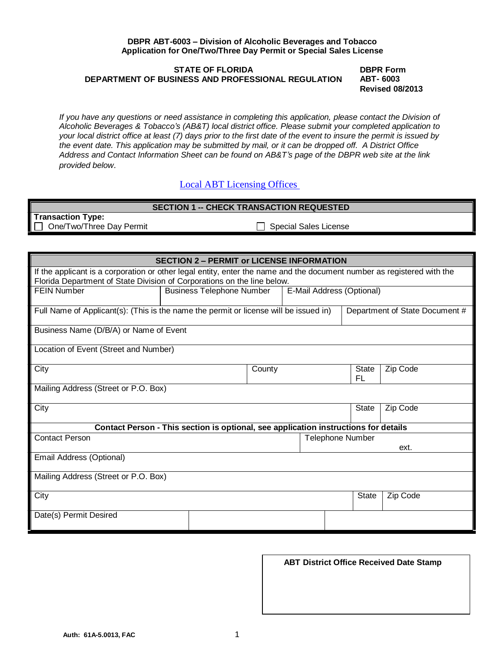#### **DBPR ABT-6003 – Division of Alcoholic Beverages and Tobacco Application for One/Two/Three Day Permit or Special Sales License**

# **STATE OF FLORIDA DEPARTMENT OF BUSINESS AND PROFESSIONAL REGULATION**

**DBPR Form ABT- 6003 Revised 08/2013**

*If you have any questions or need assistance in completing this application, please contact the Division of Alcoholic Beverages & Tobacco's (AB&T) local district office. Please submit your completed application to your local district office at least (7) days prior to the first date of the event to insure the permit is issued by the event date. This application may be submitted by mail, or it can be dropped off. A District Office Address and Contact Information Sheet can be found on AB&T's page of the DBPR web site at the link provided below.*

# [Local ABT Licensing Offices](http://www.myfloridalicense.com/DBPR/alcoholic-beverages-and-tobacco/contact/#1494352843986-421b0e77-77ee)

| <b>SECTION 1 -- CHECK TRANSACTION REQUESTED</b> |                              |  |
|-------------------------------------------------|------------------------------|--|
| <b>Transaction Type:</b>                        |                              |  |
| $\Box$ One/Two/Three Day Permit                 | <b>Special Sales License</b> |  |

| <b>SECTION 2 - PERMIT or LICENSE INFORMATION</b>                                                                                                                                                  |                                  |  |  |                                |                           |              |          |
|---------------------------------------------------------------------------------------------------------------------------------------------------------------------------------------------------|----------------------------------|--|--|--------------------------------|---------------------------|--------------|----------|
| If the applicant is a corporation or other legal entity, enter the name and the document number as registered with the<br>Florida Department of State Division of Corporations on the line below. |                                  |  |  |                                |                           |              |          |
| <b>FEIN Number</b>                                                                                                                                                                                | <b>Business Telephone Number</b> |  |  |                                | E-Mail Address (Optional) |              |          |
| Full Name of Applicant(s): (This is the name the permit or license will be issued in)                                                                                                             |                                  |  |  | Department of State Document # |                           |              |          |
| Business Name (D/B/A) or Name of Event                                                                                                                                                            |                                  |  |  |                                |                           |              |          |
| Location of Event (Street and Number)                                                                                                                                                             |                                  |  |  |                                |                           |              |          |
| City                                                                                                                                                                                              | County                           |  |  |                                |                           | State<br>FL  | Zip Code |
| Mailing Address (Street or P.O. Box)                                                                                                                                                              |                                  |  |  |                                |                           |              |          |
| City                                                                                                                                                                                              |                                  |  |  |                                |                           | <b>State</b> | Zip Code |
| Contact Person - This section is optional, see application instructions for details                                                                                                               |                                  |  |  |                                |                           |              |          |
| <b>Contact Person</b>                                                                                                                                                                             |                                  |  |  | <b>Telephone Number</b>        |                           |              | ext.     |
| Email Address (Optional)                                                                                                                                                                          |                                  |  |  |                                |                           |              |          |
| Mailing Address (Street or P.O. Box)                                                                                                                                                              |                                  |  |  |                                |                           |              |          |
| City                                                                                                                                                                                              |                                  |  |  |                                |                           | <b>State</b> | Zip Code |
| Date(s) Permit Desired                                                                                                                                                                            |                                  |  |  |                                |                           |              |          |
|                                                                                                                                                                                                   |                                  |  |  |                                |                           |              |          |

**ABT District Office Received Date Stamp**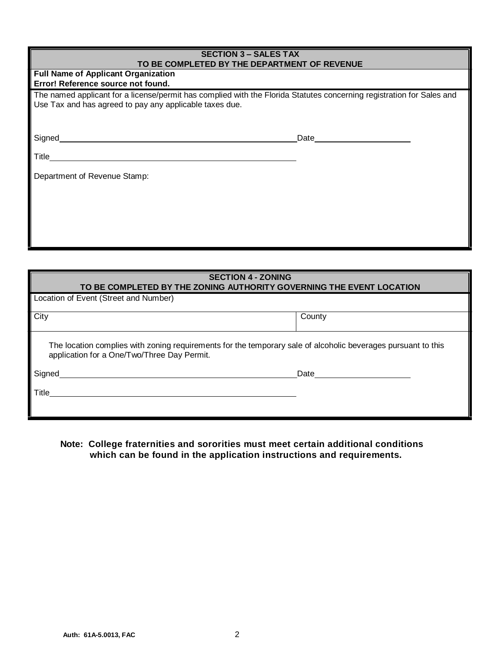| <b>SECTION 3 – SALES TAX</b><br>TO BE COMPLETED BY THE DEPARTMENT OF REVENUE                                                                                                     |      |  |  |  |
|----------------------------------------------------------------------------------------------------------------------------------------------------------------------------------|------|--|--|--|
| <b>Full Name of Applicant Organization</b><br>Error! Reference source not found.                                                                                                 |      |  |  |  |
| The named applicant for a license/permit has complied with the Florida Statutes concerning registration for Sales and<br>Use Tax and has agreed to pay any applicable taxes due. |      |  |  |  |
| Signed                                                                                                                                                                           | Date |  |  |  |
| Title                                                                                                                                                                            |      |  |  |  |
| Department of Revenue Stamp:                                                                                                                                                     |      |  |  |  |
|                                                                                                                                                                                  |      |  |  |  |

| <b>SECTION 4 - ZONING</b><br>TO BE COMPLETED BY THE ZONING AUTHORITY GOVERNING THE EVENT LOCATION                                                            |        |  |
|--------------------------------------------------------------------------------------------------------------------------------------------------------------|--------|--|
| Location of Event (Street and Number)                                                                                                                        |        |  |
| City                                                                                                                                                         | County |  |
| The location complies with zoning requirements for the temporary sale of alcoholic beverages pursuant to this<br>application for a One/Two/Three Day Permit. |        |  |
| Signed                                                                                                                                                       | Date   |  |
| l Title                                                                                                                                                      |        |  |
|                                                                                                                                                              |        |  |

**Note: College fraternities and sororities must meet certain additional conditions which can be found in the application instructions and requirements.**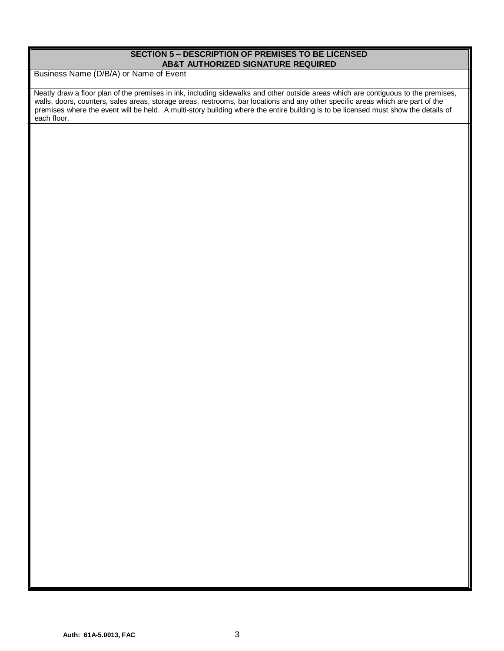# **SECTION 5 – DESCRIPTION OF PREMISES TO BE LICENSED AB&T AUTHORIZED SIGNATURE REQUIRED**

Business Name (D/B/A) or Name of Event

Neatly draw a floor plan of the premises in ink, including sidewalks and other outside areas which are contiguous to the premises, walls, doors, counters, sales areas, storage areas, restrooms, bar locations and any other specific areas which are part of the premises where the event will be held. A multi-story building where the entire building is to be licensed must show the details of .<br>each floor.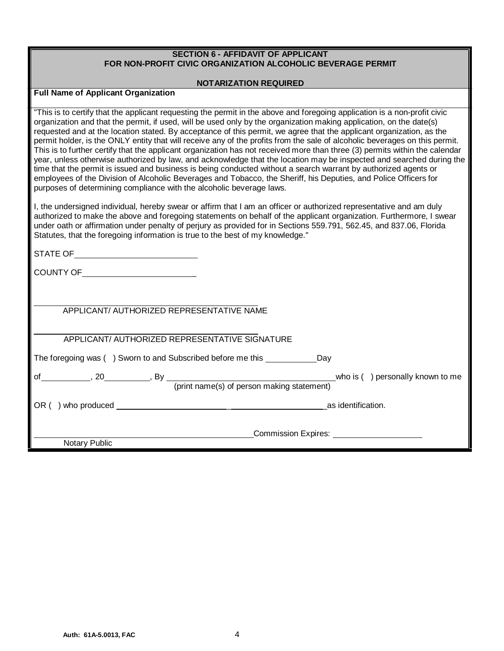# **SECTION 6 - AFFIDAVIT OF APPLICANT FOR NON-PROFIT CIVIC ORGANIZATION ALCOHOLIC BEVERAGE PERMIT**

## **NOTARIZATION REQUIRED**

# **Full Name of Applicant Organization**

"This is to certify that the applicant requesting the permit in the above and foregoing application is a non-profit civic organization and that the permit, if used, will be used only by the organization making application, on the date(s) requested and at the location stated. By acceptance of this permit, we agree that the applicant organization, as the permit holder, is the ONLY entity that will receive any of the profits from the sale of alcoholic beverages on this permit. This is to further certify that the applicant organization has not received more than three (3) permits within the calendar year, unless otherwise authorized by law, and acknowledge that the location may be inspected and searched during the time that the permit is issued and business is being conducted without a search warrant by authorized agents or employees of the Division of Alcoholic Beverages and Tobacco, the Sheriff, his Deputies, and Police Officers for purposes of determining compliance with the alcoholic beverage laws.

I, the undersigned individual, hereby swear or affirm that I am an officer or authorized representative and am duly authorized to make the above and foregoing statements on behalf of the applicant organization. Furthermore, I swear under oath or affirmation under penalty of perjury as provided for in Sections 559.791, 562.45, and 837.06, Florida Statutes, that the foregoing information is true to the best of my knowledge."

| STATE OF _________________________________                                    |  |
|-------------------------------------------------------------------------------|--|
| COUNTY OF _______________________                                             |  |
|                                                                               |  |
| APPLICANT/ AUTHORIZED REPRESENTATIVE NAME                                     |  |
| APPLICANT/ AUTHORIZED REPRESENTATIVE SIGNATURE                                |  |
| The foregoing was () Sworn to and Subscribed before me this _____________ Day |  |
| (print name(s) of person making statement)                                    |  |
|                                                                               |  |
| Commission Expires: <u>Commission</u>                                         |  |
| Notary Public                                                                 |  |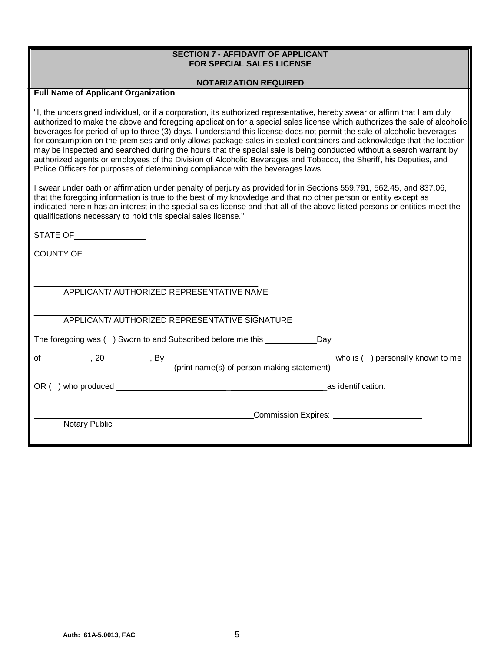# **SECTION 7 - AFFIDAVIT OF APPLICANT FOR SPECIAL SALES LICENSE**

## **NOTARIZATION REQUIRED**

# **Full Name of Applicant Organization**

"I, the undersigned individual, or if a corporation, its authorized representative, hereby swear or affirm that I am duly authorized to make the above and foregoing application for a special sales license which authorizes the sale of alcoholic beverages for period of up to three (3) days. I understand this license does not permit the sale of alcoholic beverages for consumption on the premises and only allows package sales in sealed containers and acknowledge that the location may be inspected and searched during the hours that the special sale is being conducted without a search warrant by authorized agents or employees of the Division of Alcoholic Beverages and Tobacco, the Sheriff, his Deputies, and Police Officers for purposes of determining compliance with the beverages laws.

I swear under oath or affirmation under penalty of perjury as provided for in Sections 559.791, 562.45, and 837.06, that the foregoing information is true to the best of my knowledge and that no other person or entity except as indicated herein has an interest in the special sales license and that all of the above listed persons or entities meet the qualifications necessary to hold this special sales license."

STATE OF

COUNTY OF

APPLICANT/ AUTHORIZED REPRESENTATIVE SIGNATURE

The foregoing was () Sworn to and Subscribed before me this Day

of , 20 , By who is ( ) personally known to me (print name(s) of person making statement)

OR ( ) who produced  $\overline{a}$  as identification.

**Commission Expires: COMMISSION** 

Notary Public